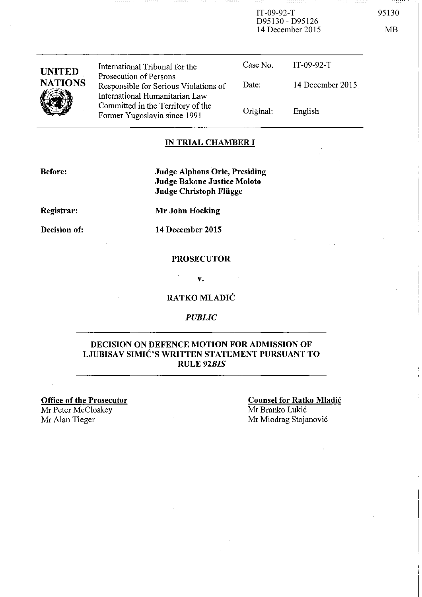IT-09-92-T 95130 D95130 - D95126 14 December 2015 MB

. . . . . . . . . .

| o.<br>۰.<br>× |  |
|---------------|--|
|               |  |

| <b>UNITED</b>  | International Tribunal for the                                                                    | Case No.  | $IT-09-92-T$     |
|----------------|---------------------------------------------------------------------------------------------------|-----------|------------------|
| <b>NATIONS</b> | Prosecution of Persons<br>Responsible for Serious Violations of<br>International Humanitarian Law | Date:     | 14 December 2015 |
|                | Committed in the Territory of the<br>Former Yugoslavia since 1991                                 | Original: | English          |

### **IN TRIAL CHAMBER I**

**Before:** 

**Judge Alphons Orie, Presiding Judge Bakone Justice Moloto Judge Christoph Fliigge** 

**Registrar:** 

**Mr John Hocking** 

**Decision of:** 

**14 December 2015** 

### **PROSECUTOR**

v.

### **RATKOMLADIC**

### *PUBLIC*

### **DECISION ON DEFENCE MOTION FOR ADMISSION OF**  LJUBISAV SIMIĆ'S WRITTEN STATEMENT PURSUANT TO RULE *92BIS*

**Office of the Prosecutor**  Mr Peter McCloskey Mr Alan Tieger

**Counsel for Ratko Mladic**  Mr Branko Lukic Mr Miodrag Stojanovic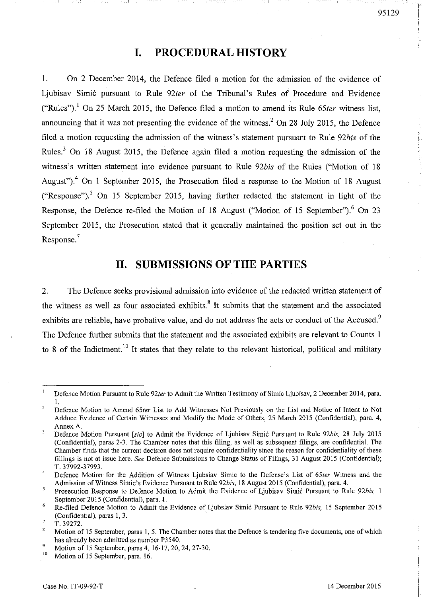# **I. PROCEDURAL HISTORY**

I. On 2 December 2014, the Defence filed a motion for the admission of the evidence of Ljubisav Simi6 pursuant to Rule *92ter* of the Tribunal's Rules of Procedure and Evidence ("Rules").<sup>1</sup> On 25 March 2015, the Defence filed a motion to amend its Rule 65ter witness list, announcing that it was not presenting the evidence of the witness? On 28 July 2015, the Defence filed a motion requesting the admission of the witness's statement pursuant to Rule *92bis* of the Rules.3 On 18 August 2015, the Defence again filed a motion requesting the admission of the witness's written statement into evidence pursuant to Rule *92bis* of the Rules ("Motion of 18 August").<sup>4</sup> On 1 September 2015, the Prosecution filed a response to the Motion of 18 August ("Response").<sup>5</sup> On 15 September 2015, having further redacted the statement in light of the Response, the Defence re-filed the Motion of 18 August ("Motion of 15 September").<sup>6</sup> On 23 September 2015, the Prosecution stated that it generally maintained the position set out in the Response.<sup>7</sup>

# **II. SUBMISSIONS OF THE PARTIES**

2. The Defence seeks provisional admission into evidence of the redacted written statement of the witness as well as four associated exhibits.<sup>8</sup> It submits that the statement and the associated exhibits are reliable, have probative value, and do not address the acts or conduct of the Accused.<sup>9</sup> The Defence further submits that the statement and the associated exhibits are relevant to Counts 1 to 8 of the Indictment.<sup>10</sup> It states that they relate to the relevant historical, political and military

 $\mathbf{I}$ Defence Motion Pursuant to Rule *92ter* to Admit the Written Testimony of Simic Ljubisav, 2 December 2014, para. I.

 $\overline{a}$ Defence Motion to Amend *65ter* List to Add Witnesses Not Previously on the List and Notice of Intent to Not Adduce Evidence of Certain Witnesses and Modify the Mode of Others, 25 March 2015 (Confidential), para. 4, Annex A.

 $\overline{\mathbf{3}}$ Defence Motion Pursuant *[sic]* to Admit the Evidence of Ljubisav Simić Pursuant to Rule 92bis. 28 July 2015 (Confidential), paras 2-3. The Chamber notes that this filing, as well as subsequent filings, are confidential. The Chamber finds that the current decision does not require confidentiality since the reason for confidentiality of these fillings is not at issue here. *See* Defence Submissions to Change Status of Filings, 31 August 2015 (Confidential); T.37992-37993.

<sup>4</sup>  Defence Motion for the Addition of Witness Ljubsiav Simic to the Defense's List of *65ter* Witness and the Admission of Witness Simic's Evidence Pursuant to Rule *92bis,* 18 August 2015 (Confidential), para. 4.

 $\overline{\mathbf{s}}$ Prosecution Response to Defence Motion to Admit the Evidence of Ljubisav Simić Pursuant to Rule 92bis, 1 September 2015 (Confidential), para. I.

<sup>6</sup>  Re-filed Defence Motion to Admit the Evidence of Ljubsiav Simi6 Pursuant to Rule *92b;s.* 15 September 2015 (Confidential), paras I, 3.

<sup>7</sup> T.39272.

<sup>8</sup> Motion of 15 September, paras 1,5. The Chamber notes that the Defence is tendering five documents, one of which has already been admitted as number P3540.

<sup>&</sup>lt;sup>9</sup> Motion of 15 September, paras 4, 16-17, 20, 24, 27-30.

Motion of 15 September, para. 16.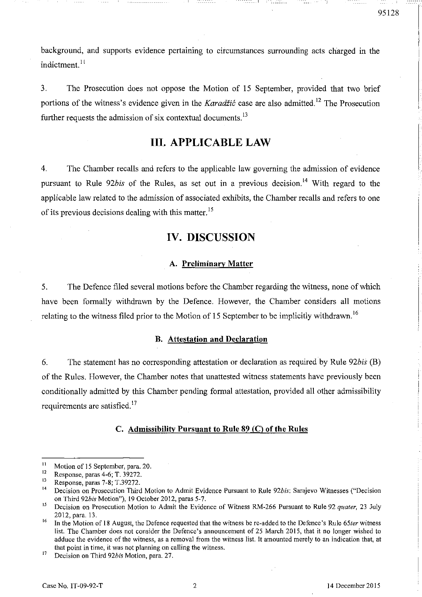background, and supports evidence pertaining to circumstances surrounding acts charged in the indictment.<sup>11</sup>

- - -\_-\_~-\_\_ I

3. The Prosecution does not oppose the Motion of 15 September, provided that two brief portions of the witness's evidence given in the *Karadžić* case are also admitted.<sup>12</sup> The Prosecution further requests the admission of six contextual documents.<sup>13</sup>

### III. APPLICABLE LAW

4. The Chamber recalls and refers to the applicable law governing the admission of evidence pursuant to Rule 92*bis* of the Rules, as set out in a previous decision.<sup>14</sup> With regard to the applicable law related to the admission of associated exhibits, the Chamber recalls and refers to one of its previous decisions dealing with this matter.<sup>15</sup>

## IV. DISCUSSION

### A. Preliminary Matter

5. The Defence filed several motions before the Chamber regarding the witness, none of which have been formally withdrawn by the Defence. However, the Chamber considers all motions relating to the witness filed prior to the Motion of 15 September to be implicitly withdrawn.<sup>16</sup>

### B. Attestation and Declaration

6. The statement has no corresponding attestation or declaration as required by Rule *92bis* (B) of the Rules. However, the Chamber notes that unattested witness statements have previously been conditionally admitted by this Chamber pending formal attestation, provided all other admissibility requirements are satisfied. 17

### C. Admissibility Pursuant to Rule 89 (C) of the Rules

<sup>&</sup>lt;sup>11</sup> Motion of 15 September, para. 20.

<sup>&</sup>lt;sup>12</sup> Response, paras 4-6; T. 39272.

<sup>&</sup>lt;sup>13</sup> Response, paras 7-8; T.39272.

<sup>14</sup> Decision on Prosecution Third Motion to Admit Evidence Pursuant to Rule *92bis:* Sarajevo Witnesses ("Decision on Third *92bis* Motion"), 19 October 2012, paras 5-7.

<sup>15</sup> Decision on Prosecution Motion to Admit the Evidence of Witness RM-266 Pursuant to Rule 92 *quater,* 23 July 2012, para. 13.

<sup>16</sup> In the Motion of 18 August, the Defence requested that the witness be re-added to the Defence's Rule *65ter* witness list. The Chamber does not consider the Defence's announcement of 25 March 2015, that it no longer wished to adduce the evidence of the witness, as a removal from the witness list. It amounted merely to an indication that, at that point in time, it was not planning on calling the witness.

<sup>17</sup> Decision on Third *92bis* Motion, para. 27.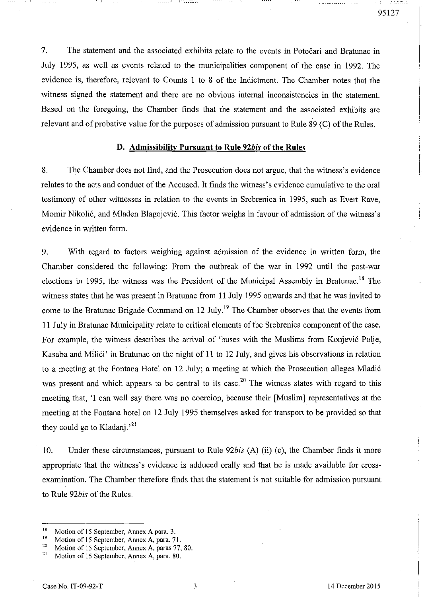7. The statement and the associated exhibits relate to the events in Potocari and Bratunac in July 1995, as well as events related to the municipalities component of the case in 1992. The evidence is, therefore, relevant to Counts 1 to 8 of the Indictment. The Chamber notes that the witness signed the statement and there are no obvious internal inconsistencies in the statement. Based on the foregoing, the Chamber finds that the statement and the associated exhibits are relevant and of probative value for the purposes of admission pursuant to Rule 89 (C) of the Rules.

- - --\_-\_~-\_\_\_ I 1--

#### D. Admissibility Pursuant to Rule *92bis* of the Rules

8. The Chamber does not find, and the Prosecution does not argue, that the witness's evidence relates to the acts and conduct of the Accused. It finds the witness's evidence cumulative to the oral testimony of other witnesses in relation to the events in Srebrenica in 1995, such as Evert Rave, Momir Nikolic, and Mladen Blagojevic. This factor weighs in favour of admission of the witness's evidence in written form.

9. With regard to factors weighing against admission of the evidence in written form, the Chamber considered the following: From the outbreak of the war in 1992 until the post-war elections in 1995, the witness was the President of the Municipal Assembly in Bratunac.<sup>18</sup> The witness states that he was present in Bratunac from 11 July 1995 onwards and that he was invited to come to the Bratunac Brigade Command on 12 July.<sup>19</sup> The Chamber observes that the events from 11 July in Bratunac Municipality relate to critical elements of the Srebrenica component of the case. For example, the witness describes the arrival of 'buses with the Muslims from Konjevic Polje, Kasaba and Milici' in Bratunac on the night of 11 to 12 July, and gives his observations in relation to a meeting at the Fontana Hotel on 12 July; a meeting at which the Prosecution alleges Mladic was present and which appears to be central to its case.<sup>20</sup> The witness states with regard to this meeting that, 'I can well say there was no coercion, because their [Muslim) representatives at the meeting at the Fontana hotel on 12 July 1995 themselves asked for transport to be provided so that they could go to Kladanj.<sup>21</sup>

10. Under these circumstances, pursuant to Rule *92bis* (A) (ii) (c), the Chamber finds it more appropriate that the witness's evidence is adduced orally and that he is made available for crossexamination. The Chamber therefore finds that the statement is not suitable for admission pursuant to Rule *92bis* of the Rules.

95127

<sup>&</sup>lt;sup>18</sup> Motion of 15 September, Annex A para. 3.<br><sup>19</sup> Motion of 15 September, Annex A para.  $7^{\circ}$ 

<sup>&</sup>lt;sup>19</sup> Motion of 15 September, Annex A, para. 71.<br><sup>20</sup> Motion of 15 September, Annex A, paras. 77.

<sup>&</sup>lt;sup>20</sup> Motion of 15 September, Annex A, paras 77, 80.<br><sup>21</sup> Motion of 15 September, Annex A, para, 80.

Motion of 15 September, Annex A, para. 80.